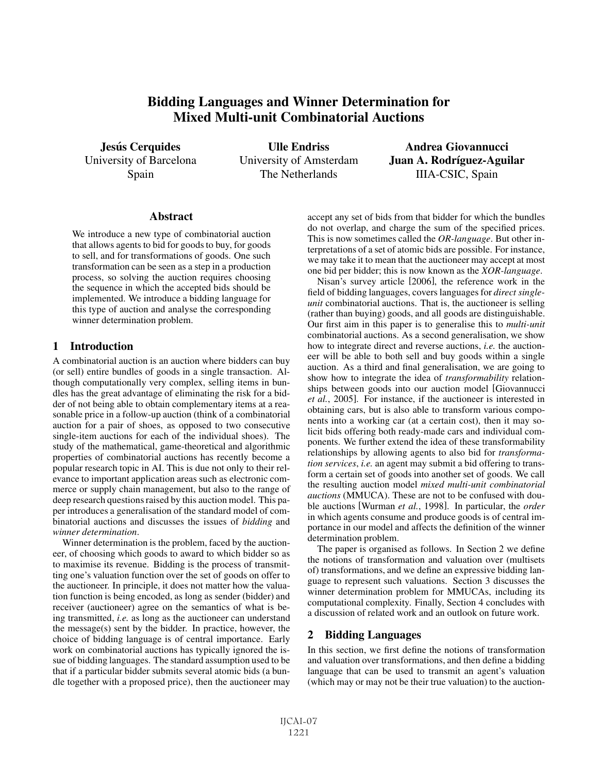# Bidding Languages and Winner Determination for Mixed Multi-unit Combinatorial Auctions

**Jesús Cerquides** University of Barcelona Spain

Ulle Endriss University of Amsterdam The Netherlands

Andrea Giovannucci Juan A. Rodríguez-Aguilar IIIA-CSIC, Spain

## **Abstract**

We introduce a new type of combinatorial auction that allows agents to bid for goods to buy, for goods to sell, and for transformations of goods. One such transformation can be seen as a step in a production process, so solving the auction requires choosing the sequence in which the accepted bids should be implemented. We introduce a bidding language for this type of auction and analyse the corresponding winner determination problem.

# 1 Introduction

A combinatorial auction is an auction where bidders can buy (or sell) entire bundles of goods in a single transaction. Although computationally very complex, selling items in bundles has the great advantage of eliminating the risk for a bidder of not being able to obtain complementary items at a reasonable price in a follow-up auction (think of a combinatorial auction for a pair of shoes, as opposed to two consecutive single-item auctions for each of the individual shoes). The study of the mathematical, game-theoretical and algorithmic properties of combinatorial auctions has recently become a popular research topic in AI. This is due not only to their relevance to important application areas such as electronic commerce or supply chain management, but also to the range of deep research questions raised by this auction model. This paper introduces a generalisation of the standard model of combinatorial auctions and discusses the issues of *bidding* and *winner determination*.

Winner determination is the problem, faced by the auctioneer, of choosing which goods to award to which bidder so as to maximise its revenue. Bidding is the process of transmitting one's valuation function over the set of goods on offer to the auctioneer. In principle, it does not matter how the valuation function is being encoded, as long as sender (bidder) and receiver (auctioneer) agree on the semantics of what is being transmitted, *i.e.* as long as the auctioneer can understand the message(s) sent by the bidder. In practice, however, the choice of bidding language is of central importance. Early work on combinatorial auctions has typically ignored the issue of bidding languages. The standard assumption used to be that if a particular bidder submits several atomic bids (a bundle together with a proposed price), then the auctioneer may accept any set of bids from that bidder for which the bundles do not overlap, and charge the sum of the specified prices. This is now sometimes called the *OR-language*. But other interpretations of a set of atomic bids are possible. For instance, we may take it to mean that the auctioneer may accept at most one bid per bidder; this is now known as the *XOR-language*.

Nisan's survey article [2006], the reference work in the field of bidding languages, covers languages for *direct singleunit* combinatorial auctions. That is, the auctioneer is selling (rather than buying) goods, and all goods are distinguishable. Our first aim in this paper is to generalise this to *multi-unit* combinatorial auctions. As a second generalisation, we show how to integrate direct and reverse auctions, *i.e.* the auctioneer will be able to both sell and buy goods within a single auction. As a third and final generalisation, we are going to show how to integrate the idea of *transformability* relationships between goods into our auction model [Giovannucci *et al.*, 2005]. For instance, if the auctioneer is interested in obtaining cars, but is also able to transform various components into a working car (at a certain cost), then it may solicit bids offering both ready-made cars and individual components. We further extend the idea of these transformability relationships by allowing agents to also bid for *transformation services*, *i.e.* an agent may submit a bid offering to transform a certain set of goods into another set of goods. We call the resulting auction model *mixed multi-unit combinatorial auctions* (MMUCA). These are not to be confused with double auctions [Wurman *et al.*, 1998]. In particular, the *order* in which agents consume and produce goods is of central importance in our model and affects the definition of the winner determination problem.

The paper is organised as follows. In Section 2 we define the notions of transformation and valuation over (multisets of) transformations, and we define an expressive bidding language to represent such valuations. Section 3 discusses the winner determination problem for MMUCAs, including its computational complexity. Finally, Section 4 concludes with a discussion of related work and an outlook on future work.

# 2 Bidding Languages

In this section, we first define the notions of transformation and valuation over transformations, and then define a bidding language that can be used to transmit an agent's valuation (which may or may not be their true valuation) to the auction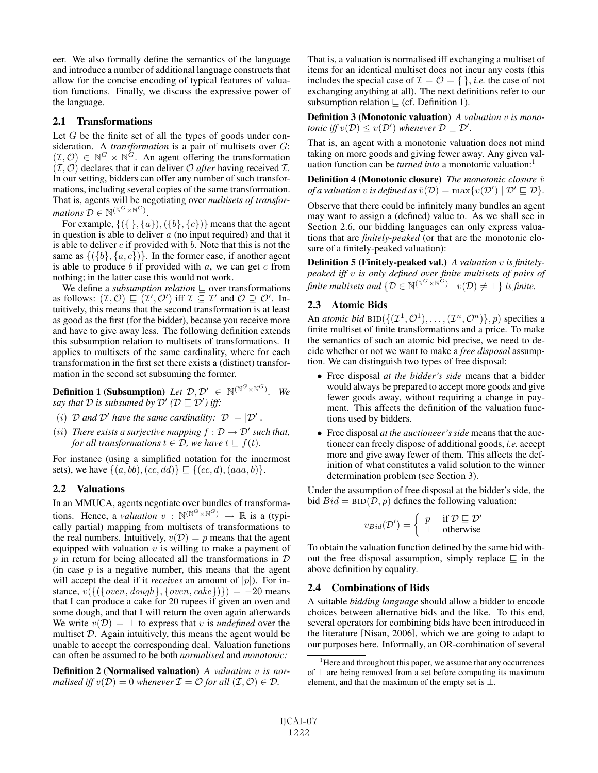eer. We also formally define the semantics of the language and introduce a number of additional language constructs that allow for the concise encoding of typical features of valuation functions. Finally, we discuss the expressive power of the language.

#### 2.1 Transformations

Let  $G$  be the finite set of all the types of goods under consideration. A *transformation* is a pair of multisets over *G*:  $(\mathcal{I}, \mathcal{O}) \in \mathbb{N}^G \times \mathbb{N}^G$ . An agent offering the transformation  $(\mathcal{I}, \mathcal{O})$  declares that it can deliver  $\mathcal O$  *after* having received  $\mathcal{I}$ . In our setting, bidders can offer any number of such transformations, including several copies of the same transformation. That is, agents will be negotiating over *multisets of transformations*  $\mathcal{D} \in \mathbb{N}^{(\mathbb{N}^G \times \mathbb{N}^G)}$ .

For example,  $\{(\{\}, \{a\}), (\{b\}, \{c\})\}$  means that the agent in question is able to deliver  $a$  (no input required) and that it is able to deliver  $c$  if provided with  $b$ . Note that this is not the same as  $\{\{\{b\}, \{a, c\}\}\}\$ . In the former case, if another agent is able to produce  $b$  if provided with  $a$ , we can get  $c$  from nothing; in the latter case this would not work.

We define a *subsumption relation*  $\sqsubseteq$  over transformations as follows:  $(\mathcal{I}, \mathcal{O}) \sqsubseteq (\mathcal{I}', \mathcal{O}')$  iff  $\mathcal{I} \subseteq \mathcal{I}'$  and  $\mathcal{O} \supseteq \mathcal{O}'$ . Intuitively, this means that the second transformation is at least as good as the first (for the bidder), because you receive more and have to give away less. The following definition extends this subsumption relation to multisets of transformations. It applies to multisets of the same cardinality, where for each transformation in the first set there exists a (distinct) transformation in the second set subsuming the former.

**Definition 1 (Subsumption)** Let  $\mathcal{D}, \mathcal{D}' \in \mathbb{N}^{(\mathbb{N}^G \times \mathbb{N}^G)}$ . We say that  $\mathcal D$  is subsumed by  $\mathcal D'$  ( $\mathcal D \sqsubseteq \mathcal D'$ ) iff:

- (i) D and D' have the same cardinality:  $|\mathcal{D}| = |\mathcal{D}'|$ .
- (*ii*) *There exists a surjective mapping*  $f : \mathcal{D} \to \mathcal{D}'$  *such that, for all transformations*  $t \in \mathcal{D}$ *, we have*  $t \sqsubseteq f(t)$ *.*

For instance (using a simplified notation for the innermost sets), we have  $\{(a, bb), (cc, dd)\}\subseteq \{(cc, d), (aaa, b)\}.$ 

## 2.2 Valuations

In an MMUCA, agents negotiate over bundles of transformations. Hence, a *valuation*  $v : \mathbb{N}^{(\mathbb{N}^G \times \mathbb{N}^G)} \rightarrow \mathbb{R}$  is a (typically partial) mapping from multisets of transformations to the real numbers. Intuitively,  $v(\mathcal{D}) = p$  means that the agent equipped with valuation  $v$  is willing to make a payment of  $p$  in return for being allocated all the transformations in  $D$ (in case  $p$  is a negative number, this means that the agent will accept the deal if it *receives* an amount of  $|p|$ ). For instance,  $v(\{($ {oven, dough}, {oven, cake})} $) = -20$  means that I can produce a cake for 20 rupees if given an oven and some dough, and that I will return the oven again afterwards We write  $v(\mathcal{D}) = \perp$  to express that v is *undefined* over the multiset D. Again intuitively, this means the agent would be unable to accept the corresponding deal. Valuation functions can often be assumed to be both *normalised* and *monotonic:*

Definition 2 (Normalised valuation) *A valuation* v *is normalised iff*  $v(\mathcal{D})=0$  *whenever*  $\mathcal{I} = \mathcal{O}$  *for all*  $(\mathcal{I}, \mathcal{O}) \in \mathcal{D}$ *.* 

That is, a valuation is normalised iff exchanging a multiset of items for an identical multiset does not incur any costs (this includes the special case of  $\mathcal{I} = \mathcal{O} = \{\}$ , *i.e.* the case of not exchanging anything at all). The next definitions refer to our subsumption relation  $\sqsubseteq$  (cf. Definition 1).

Definition 3 (Monotonic valuation) *A valuation* v *is monotonic iff*  $v(D) \leq v(D')$  *whenever*  $D \sqsubseteq D'$ *.* 

That is, an agent with a monotonic valuation does not mind taking on more goods and giving fewer away. Any given valuation function can be *turned into* a monotonic valuation:<sup>1</sup>

**Definition 4 (Monotonic closure)** *The monotonic closure*  $\hat{v}$ *of a valuation* v *is defined as*  $\hat{v}(\mathcal{D}) = \max\{v(\mathcal{D}') \mid \mathcal{D}' \sqsubseteq \mathcal{D}\}.$ 

Observe that there could be infinitely many bundles an agent may want to assign a (defined) value to. As we shall see in Section 2.6, our bidding languages can only express valuations that are *finitely-peaked* (or that are the monotonic closure of a finitely-peaked valuation):

Definition 5 (Finitely-peaked val.) *A valuation* v *is finitelypeaked iff* v *is only defined over finite multisets of pairs of finite multisets and*  $\{D \in \mathbb{N}^{(\mathbb{N}^G \times \mathbb{N}^G)} \mid v(D) \neq \bot\}$  *is finite.* 

# 2.3 Atomic Bids

An *atomic bid* BID $({{\mathcal{I}^1, \mathcal{O}^1}}, \ldots, {\mathcal{I}^n, \mathcal{O}^n})$ , p) specifies a finite multiset of finite transformations and a price. To make the semantics of such an atomic bid precise, we need to decide whether or not we want to make a *free disposal* assumption. We can distinguish two types of free disposal:

- Free disposal *at the bidder's side* means that a bidder would always be prepared to accept more goods and give fewer goods away, without requiring a change in payment. This affects the definition of the valuation functions used by bidders.
- Free disposal *at the auctioneer's side* means that the auctioneer can freely dispose of additional goods, *i.e.* accept more and give away fewer of them. This affects the definition of what constitutes a valid solution to the winner determination problem (see Section 3).

Under the assumption of free disposal at the bidder's side, the bid  $Bid = BID(D, p)$  defines the following valuation:

$$
v_{Bid}(\mathcal{D}') = \begin{cases} p & \text{if } \mathcal{D} \sqsubseteq \mathcal{D}' \\ \perp & \text{otherwise} \end{cases}
$$

To obtain the valuation function defined by the same bid without the free disposal assumption, simply replace  $\subseteq$  in the above definition by equality.

## 2.4 Combinations of Bids

A suitable *bidding language* should allow a bidder to encode choices between alternative bids and the like. To this end, several operators for combining bids have been introduced in the literature [Nisan, 2006], which we are going to adapt to our purposes here. Informally, an OR-combination of several

<sup>&</sup>lt;sup>1</sup>Here and throughout this paper, we assume that any occurrences of ⊥ are being removed from a set before computing its maximum element, and that the maximum of the empty set is  $\bot$ .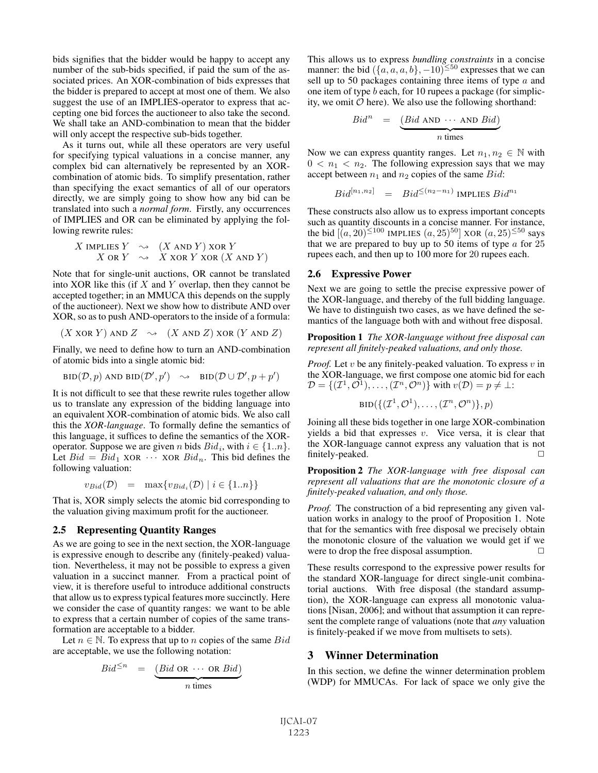bids signifies that the bidder would be happy to accept any number of the sub-bids specified, if paid the sum of the associated prices. An XOR-combination of bids expresses that the bidder is prepared to accept at most one of them. We also suggest the use of an IMPLIES-operator to express that accepting one bid forces the auctioneer to also take the second. We shall take an AND-combination to mean that the bidder will only accept the respective sub-bids together.

As it turns out, while all these operators are very useful for specifying typical valuations in a concise manner, any complex bid can alternatively be represented by an XORcombination of atomic bids. To simplify presentation, rather than specifying the exact semantics of all of our operators directly, we are simply going to show how any bid can be translated into such a *normal form*. Firstly, any occurrences of IMPLIES and OR can be eliminated by applying the following rewrite rules:

$$
X \text{ IMPLIES } Y \sim (X \text{ AND } Y) \text{ XOR } Y
$$
  

$$
X \text{ OR } Y \sim X \text{ XOR } Y \text{ XOR } (X \text{ AND } Y)
$$

Note that for single-unit auctions, OR cannot be translated into XOR like this (if  $X$  and  $Y$  overlap, then they cannot be accepted together; in an MMUCA this depends on the supply of the auctioneer). Next we show how to distribute AND over XOR, so as to push AND-operators to the inside of a formula:

 $(X \text{ XOR } Y)$  AND  $Z \rightarrow (X \text{ AND } Z)$  XOR  $(Y \text{ AND } Z)$ 

Finally, we need to define how to turn an AND-combination of atomic bids into a single atomic bid:

$$
\text{BID}(\mathcal{D}, p) \text{ AND } \text{BID}(\mathcal{D}', p') \quad \leadsto \quad \text{BID}(\mathcal{D} \cup \mathcal{D}', p + p')
$$

It is not difficult to see that these rewrite rules together allow us to translate any expression of the bidding language into an equivalent XOR-combination of atomic bids. We also call this the *XOR-language*. To formally define the semantics of this language, it suffices to define the semantics of the XORoperator. Suppose we are given *n* bids  $Bid_i$ , with  $i \in \{1..n\}$ . Let  $Bid = Bid_1 \times \text{OR} \cdots \times \text{OR} \text{Bid}_n$ . This bid defines the following valuation:

$$
v_{Bid}(\mathcal{D}) = \max \{ v_{Bid_i}(\mathcal{D}) \mid i \in \{1..n\} \}
$$

That is, XOR simply selects the atomic bid corresponding to the valuation giving maximum profit for the auctioneer.

#### 2.5 Representing Quantity Ranges

As we are going to see in the next section, the XOR-language is expressive enough to describe any (finitely-peaked) valuation. Nevertheless, it may not be possible to express a given valuation in a succinct manner. From a practical point of view, it is therefore useful to introduce additional constructs that allow us to express typical features more succinctly. Here we consider the case of quantity ranges: we want to be able to express that a certain number of copies of the same transformation are acceptable to a bidder.

Let  $n \in \mathbb{N}$ . To express that up to n copies of the same  $Bid$ are acceptable, we use the following notation:

$$
Bid^{\leq n} = \underbrace{(Bid \text{ OR } \cdots \text{ OR } Bid)}_{n \text{ times}}
$$

This allows us to express *bundling constraints* in a concise manner: the bid  $({a, a, a, b}, -10)^{\leq 50}$  expresses that we can sell up to 50 packages containing three items of type  $a$  and one item of type b each, for 10 rupees a package (for simplicity, we omit  $\mathcal O$  here). We also use the following shorthand:

$$
Bidn = \underbrace{(Bid \text{ AND } \cdots \text{ AND } Bid)}_{n \text{ times}}
$$

Now we can express quantity ranges. Let  $n_1, n_2 \in \mathbb{N}$  with  $0 < n_1 < n_2$ . The following expression says that we may accept between  $n_1$  and  $n_2$  copies of the same Bid:

$$
Bid^{[n_1,n_2]} \quad = \quad Bid^{\leq (n_2-n_1)} \text{ IMPLIES } Bid^{n_1}
$$

These constructs also allow us to express important concepts such as quantity discounts in a concise manner. For instance, the bid  $\left[ (a, 20)^{\leq 100} \right]$  IMPLIES  $(a, 25)^{50}$  XOR  $(a, 25)^{\leq 50}$  says that we are prepared to buy up to 50 items of type  $a$  for 25 rupees each, and then up to 100 more for 20 rupees each.

#### 2.6 Expressive Power

Next we are going to settle the precise expressive power of the XOR-language, and thereby of the full bidding language. We have to distinguish two cases, as we have defined the semantics of the language both with and without free disposal.

Proposition 1 *The XOR-language without free disposal can represent all finitely-peaked valuations, and only those.*

*Proof.* Let  $v$  be any finitely-peaked valuation. To express  $v$  in the XOR-language, we first compose one atomic bid for each  $\mathcal{D} = \{(\mathcal{I}^1, \mathcal{O}^1), \ldots, (\mathcal{I}^n, \mathcal{O}^n)\}\$ with  $v(\mathcal{D}) = p \neq \perp$ :

$$
\text{BID}(\{(\mathcal{I}^1, \mathcal{O}^1), \ldots, (\mathcal{I}^n, \mathcal{O}^n)\}, p)
$$

Joining all these bids together in one large XOR-combination yields a bid that expresses  $v$ . Vice versa, it is clear that the XOR-language cannot express any valuation that is not finitely-peaked.

Proposition 2 *The XOR-language with free disposal can represent all valuations that are the monotonic closure of a finitely-peaked valuation, and only those.*

*Proof.* The construction of a bid representing any given valuation works in analogy to the proof of Proposition 1. Note that for the semantics with free disposal we precisely obtain the monotonic closure of the valuation we would get if we were to drop the free disposal assumption.  $\Box$ 

These results correspond to the expressive power results for the standard XOR-language for direct single-unit combinatorial auctions. With free disposal (the standard assumption), the XOR-language can express all monotonic valuations [Nisan, 2006]; and without that assumption it can represent the complete range of valuations (note that *any* valuation is finitely-peaked if we move from multisets to sets).

## 3 Winner Determination

In this section, we define the winner determination problem (WDP) for MMUCAs. For lack of space we only give the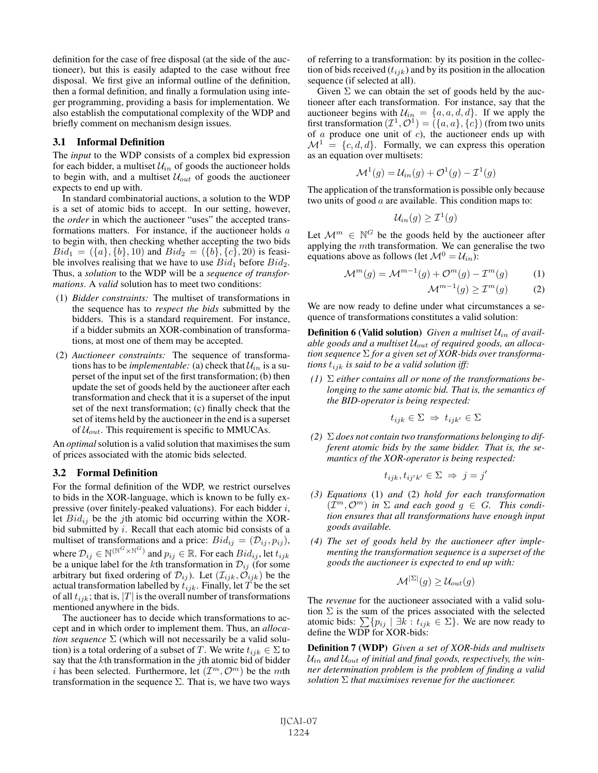definition for the case of free disposal (at the side of the auctioneer), but this is easily adapted to the case without free disposal. We first give an informal outline of the definition, then a formal definition, and finally a formulation using integer programming, providing a basis for implementation. We also establish the computational complexity of the WDP and briefly comment on mechanism design issues.

## 3.1 Informal Definition

The *input* to the WDP consists of a complex bid expression for each bidder, a multiset  $\mathcal{U}_{in}$  of goods the auctioneer holds to begin with, and a multiset  $U_{out}$  of goods the auctioneer expects to end up with.

In standard combinatorial auctions, a solution to the WDP is a set of atomic bids to accept. In our setting, however, the *order* in which the auctioneer "uses" the accepted transformations matters. For instance, if the auctioneer holds a to begin with, then checking whether accepting the two bids  $Bid_1 = (\{a\}, \{b\}, 10)$  and  $Bid_2 = (\{b\}, \{c\}, 20)$  is feasible involves realising that we have to use  $Bid_1$  before  $Bid_2$ . Thus, a *solution* to the WDP will be a *sequence of transformations*. A *valid* solution has to meet two conditions:

- (1) *Bidder constraints:* The multiset of transformations in the sequence has to *respect the bids* submitted by the bidders. This is a standard requirement. For instance, if a bidder submits an XOR-combination of transformations, at most one of them may be accepted.
- (2) *Auctioneer constraints:* The sequence of transformations has to be *implementable*: (a) check that  $\mathcal{U}_{in}$  is a superset of the input set of the first transformation; (b) then update the set of goods held by the auctioneer after each transformation and check that it is a superset of the input set of the next transformation; (c) finally check that the set of items held by the auctioneer in the end is a superset of  $\mathcal{U}_{out}$ . This requirement is specific to MMUCAs.

An *optimal*solution is a valid solution that maximises the sum of prices associated with the atomic bids selected.

## 3.2 Formal Definition

For the formal definition of the WDP, we restrict ourselves to bids in the XOR-language, which is known to be fully expressive (over finitely-peaked valuations). For each bidder  $i$ , let  $Bid_{ij}$  be the j<sup>th</sup> atomic bid occurring within the XORbid submitted by  $i$ . Recall that each atomic bid consists of a multiset of transformations and a price:  $Bid_{ij} = (\mathcal{D}_{ij}, p_{ij}),$ where  $\mathcal{D}_{ij} \in \mathbb{N}^{(\mathbb{N}^G \times \mathbb{N}^G)}$  and  $p_{ij} \in \mathbb{R}$ . For each  $Bid_{ij}$ , let  $t_{ijk}$ be a unique label for the *k*th transformation in  $\mathcal{D}_{ij}$  (for some arbitrary but fixed ordering of  $\mathcal{D}_{ij}$ ). Let  $(\mathcal{I}_{ijk}, \mathcal{O}_{ijk})$  be the actual transformation labelled by  $t_{ijk}$ . Finally, let T be the set of all  $t_{ijk}$ ; that is,  $|T|$  is the overall number of transformations mentioned anywhere in the bids.

The auctioneer has to decide which transformations to accept and in which order to implement them. Thus, an *allocation sequence*  $\Sigma$  (which will not necessarily be a valid solution) is a total ordering of a subset of T. We write  $t_{ijk} \in \Sigma$  to say that the  $k$ th transformation in the  $j$ th atomic bid of bidder i has been selected. Furthermore, let  $(\mathcal{I}^m, \mathcal{O}^m)$  be the mth transformation in the sequence  $\Sigma$ . That is, we have two ways of referring to a transformation: by its position in the collection of bids received  $(t_{ijk})$  and by its position in the allocation sequence (if selected at all).

Given  $\Sigma$  we can obtain the set of goods held by the auctioneer after each transformation. For instance, say that the auctioneer begins with  $\mathcal{U}_{in} = \{a, a, d, d\}$ . If we apply the first transformation  $(\mathcal{I}^1, \mathcal{O}^1) = (\{a, a\}, \{c\})$  (from two units of  $a$  produce one unit of  $c$ ), the auctioneer ends up with  $\mathcal{M}^1 = \{c, d, d\}$ . Formally, we can express this operation as an equation over multisets:

$$
\mathcal{M}^1(g) = \mathcal{U}_{in}(g) + \mathcal{O}^1(g) - \mathcal{I}^1(g)
$$

The application of the transformation is possible only because two units of good  $\alpha$  are available. This condition maps to:

$$
\mathcal{U}_{in}(g) \geq \mathcal{I}^1(g)
$$

Let  $\mathcal{M}^m \in \mathbb{N}^G$  be the goods held by the auctioneer after applying the mth transformation. We can generalise the two equations above as follows (let  $\mathcal{M}^0 = \mathcal{U}_{in}$ ):

$$
\mathcal{M}^m(g) = \mathcal{M}^{m-1}(g) + \mathcal{O}^m(g) - \mathcal{I}^m(g) \tag{1}
$$

 $\mathcal{M}^{m-1}(q) \geq \mathcal{I}^m(q)$  (2)

We are now ready to define under what circumstances a sequence of transformations constitutes a valid solution:

**Definition 6 (Valid solution)** *Given a multiset*  $U_{in}$  *of available goods and a multiset* Uout *of required goods, an allocation sequence* Σ *for a given set of XOR-bids over transformations*  $t_{ijk}$  *is said to be a valid solution iff:* 

*(1)* Σ *either contains all or none of the transformations belonging to the same atomic bid. That is, the semantics of the BID-operator is being respected:*

$$
t_{ijk} \in \Sigma \implies t_{ijk'} \in \Sigma
$$

*(2)* Σ *does not contain two transformations belonging to different atomic bids by the same bidder. That is, the semantics of the XOR-operator is being respected:*

$$
t_{ijk}, t_{ij'k'} \in \Sigma \implies j = j'
$$

- *(3) Equations* (1) *and* (2) *hold for each transformation*  $(\mathcal{I}^m, \mathcal{O}^m)$  *in*  $\Sigma$  *and each good*  $g \in G$ *. This condition ensures that all transformations have enough input goods available.*
- *(4) The set of goods held by the auctioneer after implementing the transformation sequence is a superset of the goods the auctioneer is expected to end up with:*

$$
\mathcal{M}^{|\Sigma|}(g) \ge \mathcal{U}_{out}(g)
$$

The *revenue* for the auctioneer associated with a valid solution  $\Sigma$  is the sum of the prices associated with the selected atomic bids:  $\sum \{p_{ij} \mid \exists k : t_{ijk} \in \Sigma\}$ . We are now ready to define the WDP for XOR-bids:

Definition 7 (WDP) *Given a set of XOR-bids and multisets*  $U_{in}$  and  $U_{out}$  of initial and final goods, respectively, the win*ner determination problem is the problem of finding a valid solution* Σ *that maximises revenue for the auctioneer.*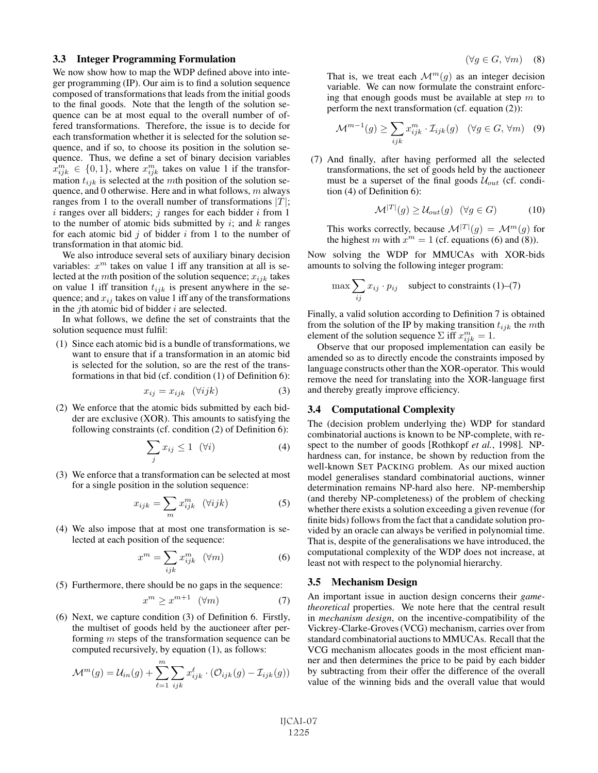#### 3.3 Integer Programming Formulation

We now show how to map the WDP defined above into integer programming (IP). Our aim is to find a solution sequence composed of transformations that leads from the initial goods to the final goods. Note that the length of the solution sequence can be at most equal to the overall number of offered transformations. Therefore, the issue is to decide for each transformation whether it is selected for the solution sequence, and if so, to choose its position in the solution sequence. Thus, we define a set of binary decision variables  $x_{ijk}^m \in \{0,1\}$ , where  $x_{ijk}^m$  takes on value 1 if the transformation  $t_{ijk}$  is selected at the mth position of the solution sequence, and 0 otherwise. Here and in what follows,  $m$  always ranges from 1 to the overall number of transformations  $|T|$ ;  $i$  ranges over all bidders;  $j$  ranges for each bidder  $i$  from 1 to the number of atomic bids submitted by  $i$ ; and  $k$  ranges for each atomic bid  $j$  of bidder  $i$  from 1 to the number of transformation in that atomic bid.

We also introduce several sets of auxiliary binary decision variables:  $x^m$  takes on value 1 iff any transition at all is selected at the *mth* position of the solution sequence;  $x_{ijk}$  takes on value 1 iff transition  $t_{ijk}$  is present anywhere in the sequence; and  $x_{ij}$  takes on value 1 iff any of the transformations in the *j*th atomic bid of bidder  $i$  are selected.

In what follows, we define the set of constraints that the solution sequence must fulfil:

(1) Since each atomic bid is a bundle of transformations, we want to ensure that if a transformation in an atomic bid is selected for the solution, so are the rest of the transformations in that bid (cf. condition (1) of Definition 6):

$$
x_{ij} = x_{ijk} \quad (\forall ijk) \tag{3}
$$

(2) We enforce that the atomic bids submitted by each bidder are exclusive (XOR). This amounts to satisfying the following constraints (cf. condition (2) of Definition 6):

$$
\sum_{j} x_{ij} \le 1 \quad (\forall i)
$$
 (4)

(3) We enforce that a transformation can be selected at most for a single position in the solution sequence:

$$
x_{ijk} = \sum_{m} x_{ijk}^{m} \quad (\forall ijk)
$$
 (5)

(4) We also impose that at most one transformation is selected at each position of the sequence:

$$
x^m = \sum_{ijk} x_{ijk}^m \quad (\forall m)
$$
 (6)

(5) Furthermore, there should be no gaps in the sequence:

$$
x^m \ge x^{m+1} \quad (\forall m) \tag{7}
$$

(6) Next, we capture condition (3) of Definition 6. Firstly, the multiset of goods held by the auctioneer after performing m steps of the transformation sequence can be computed recursively, by equation (1), as follows:

$$
\mathcal{M}^m(g) = \mathcal{U}_{in}(g) + \sum_{\ell=1}^m \sum_{ijk} x_{ijk}^{\ell} \cdot (\mathcal{O}_{ijk}(g) - \mathcal{I}_{ijk}(g))
$$

$$
(\forall g \in G, \forall m) \quad (8)
$$

That is, we treat each  $\mathcal{M}^m(q)$  as an integer decision variable. We can now formulate the constraint enforcing that enough goods must be available at step  $m$  to perform the next transformation (cf. equation (2)):

$$
\mathcal{M}^{m-1}(g) \ge \sum_{ijk} x_{ijk}^m \cdot \mathcal{I}_{ijk}(g) \quad (\forall g \in G, \forall m) \quad (9)
$$

(7) And finally, after having performed all the selected transformations, the set of goods held by the auctioneer must be a superset of the final goods  $U_{out}$  (cf. condition (4) of Definition 6):

$$
\mathcal{M}^{|T|}(g) \ge \mathcal{U}_{out}(g) \quad (\forall g \in G) \tag{10}
$$

This works correctly, because  $\mathcal{M}^{|T|}(g) = \mathcal{M}^m(g)$  for the highest m with  $x^m = 1$  (cf. equations (6) and (8)).

Now solving the WDP for MMUCAs with XOR-bids amounts to solving the following integer program:

$$
\max \sum_{ij} x_{ij} \cdot p_{ij} \quad \text{subject to constraints (1)-(7)}
$$

Finally, a valid solution according to Definition 7 is obtained from the solution of the IP by making transition  $t_{ijk}$  the mth element of the solution sequence  $\Sigma$  iff  $x_{ijk}^m = 1$ .

Observe that our proposed implementation can easily be amended so as to directly encode the constraints imposed by language constructs other than the XOR-operator. This would remove the need for translating into the XOR-language first and thereby greatly improve efficiency.

#### 3.4 Computational Complexity

The (decision problem underlying the) WDP for standard combinatorial auctions is known to be NP-complete, with respect to the number of goods [Rothkopf *et al.*, 1998]. NPhardness can, for instance, be shown by reduction from the well-known SET PACKING problem. As our mixed auction model generalises standard combinatorial auctions, winner determination remains NP-hard also here. NP-membership (and thereby NP-completeness) of the problem of checking whether there exists a solution exceeding a given revenue (for finite bids) follows from the fact that a candidate solution provided by an oracle can always be verified in polynomial time. That is, despite of the generalisations we have introduced, the computational complexity of the WDP does not increase, at least not with respect to the polynomial hierarchy.

#### 3.5 Mechanism Design

An important issue in auction design concerns their *gametheoretical* properties. We note here that the central result in *mechanism design*, on the incentive-compatibility of the Vickrey-Clarke-Groves (VCG) mechanism, carries over from standard combinatorial auctions to MMUCAs. Recall that the VCG mechanism allocates goods in the most efficient manner and then determines the price to be paid by each bidder by subtracting from their offer the difference of the overall value of the winning bids and the overall value that would